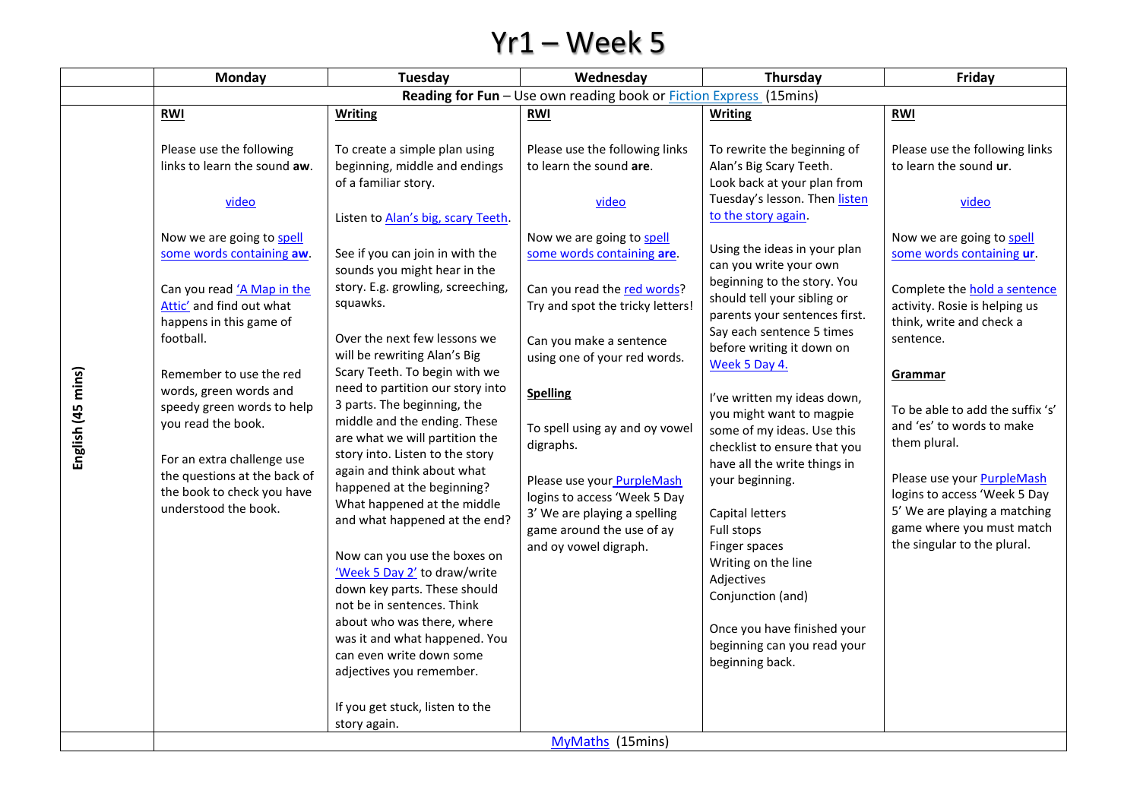## Yr1 – Week 5

|                   | Monday                                                                                                                                                                                                                                                                                                                                                                                                                                                     | Tuesday                                                                                                                                                                                                                                                                                                                                                                                                                                                                                                                                                                                                                                                                                                                                                                                                                                                                                                                                                       | Wednesday                                                                                                                                                                                                                                                                                                                                                                                                                                                                                             | Thursday                                                                                                                                                                                                                                                                                                                                                                                                                                                                                                                                                                                                                                                                                                                                                   | Friday                                                                                                                                                                                                                                                                                                                                                                                                                                                                                                    |  |  |  |
|-------------------|------------------------------------------------------------------------------------------------------------------------------------------------------------------------------------------------------------------------------------------------------------------------------------------------------------------------------------------------------------------------------------------------------------------------------------------------------------|---------------------------------------------------------------------------------------------------------------------------------------------------------------------------------------------------------------------------------------------------------------------------------------------------------------------------------------------------------------------------------------------------------------------------------------------------------------------------------------------------------------------------------------------------------------------------------------------------------------------------------------------------------------------------------------------------------------------------------------------------------------------------------------------------------------------------------------------------------------------------------------------------------------------------------------------------------------|-------------------------------------------------------------------------------------------------------------------------------------------------------------------------------------------------------------------------------------------------------------------------------------------------------------------------------------------------------------------------------------------------------------------------------------------------------------------------------------------------------|------------------------------------------------------------------------------------------------------------------------------------------------------------------------------------------------------------------------------------------------------------------------------------------------------------------------------------------------------------------------------------------------------------------------------------------------------------------------------------------------------------------------------------------------------------------------------------------------------------------------------------------------------------------------------------------------------------------------------------------------------------|-----------------------------------------------------------------------------------------------------------------------------------------------------------------------------------------------------------------------------------------------------------------------------------------------------------------------------------------------------------------------------------------------------------------------------------------------------------------------------------------------------------|--|--|--|
|                   | Reading for Fun - Use own reading book or Fiction Express (15mins)                                                                                                                                                                                                                                                                                                                                                                                         |                                                                                                                                                                                                                                                                                                                                                                                                                                                                                                                                                                                                                                                                                                                                                                                                                                                                                                                                                               |                                                                                                                                                                                                                                                                                                                                                                                                                                                                                                       |                                                                                                                                                                                                                                                                                                                                                                                                                                                                                                                                                                                                                                                                                                                                                            |                                                                                                                                                                                                                                                                                                                                                                                                                                                                                                           |  |  |  |
|                   | <b>RWI</b>                                                                                                                                                                                                                                                                                                                                                                                                                                                 | <b>Writing</b>                                                                                                                                                                                                                                                                                                                                                                                                                                                                                                                                                                                                                                                                                                                                                                                                                                                                                                                                                | RWI                                                                                                                                                                                                                                                                                                                                                                                                                                                                                                   | <b>Writing</b>                                                                                                                                                                                                                                                                                                                                                                                                                                                                                                                                                                                                                                                                                                                                             | RWI                                                                                                                                                                                                                                                                                                                                                                                                                                                                                                       |  |  |  |
| English (45 mins) | Please use the following<br>links to learn the sound aw.<br>video<br>Now we are going to spell<br>some words containing aw.<br>Can you read 'A Map in the<br>Attic' and find out what<br>happens in this game of<br>football.<br>Remember to use the red<br>words, green words and<br>speedy green words to help<br>you read the book.<br>For an extra challenge use<br>the questions at the back of<br>the book to check you have<br>understood the book. | To create a simple plan using<br>beginning, middle and endings<br>of a familiar story.<br>Listen to Alan's big, scary Teeth.<br>See if you can join in with the<br>sounds you might hear in the<br>story. E.g. growling, screeching,<br>squawks.<br>Over the next few lessons we<br>will be rewriting Alan's Big<br>Scary Teeth. To begin with we<br>need to partition our story into<br>3 parts. The beginning, the<br>middle and the ending. These<br>are what we will partition the<br>story into. Listen to the story<br>again and think about what<br>happened at the beginning?<br>What happened at the middle<br>and what happened at the end?<br>Now can you use the boxes on<br>'Week 5 Day 2' to draw/write<br>down key parts. These should<br>not be in sentences. Think<br>about who was there, where<br>was it and what happened. You<br>can even write down some<br>adjectives you remember.<br>If you get stuck, listen to the<br>story again. | Please use the following links<br>to learn the sound are.<br>video<br>Now we are going to spell<br>some words containing are.<br>Can you read the red words?<br>Try and spot the tricky letters!<br>Can you make a sentence<br>using one of your red words.<br><b>Spelling</b><br>To spell using ay and oy vowel<br>digraphs.<br>Please use your PurpleMash<br>logins to access 'Week 5 Day<br>3' We are playing a spelling<br>game around the use of ay<br>and oy vowel digraph.<br>MyMaths (15mins) | To rewrite the beginning of<br>Alan's Big Scary Teeth.<br>Look back at your plan from<br>Tuesday's lesson. Then listen<br>to the story again.<br>Using the ideas in your plan<br>can you write your own<br>beginning to the story. You<br>should tell your sibling or<br>parents your sentences first.<br>Say each sentence 5 times<br>before writing it down on<br>Week 5 Day 4.<br>I've written my ideas down,<br>you might want to magpie<br>some of my ideas. Use this<br>checklist to ensure that you<br>have all the write things in<br>your beginning.<br>Capital letters<br>Full stops<br>Finger spaces<br>Writing on the line<br>Adjectives<br>Conjunction (and)<br>Once you have finished your<br>beginning can you read your<br>beginning back. | Please use the following links<br>to learn the sound ur.<br>video<br>Now we are going to spell<br>some words containing ur.<br>Complete the <b>hold a sentence</b><br>activity. Rosie is helping us<br>think, write and check a<br>sentence.<br>Grammar<br>To be able to add the suffix 's'<br>and 'es' to words to make<br>them plural.<br>Please use your <b>PurpleMash</b><br>logins to access 'Week 5 Day<br>5' We are playing a matching<br>game where you must match<br>the singular to the plural. |  |  |  |
|                   |                                                                                                                                                                                                                                                                                                                                                                                                                                                            |                                                                                                                                                                                                                                                                                                                                                                                                                                                                                                                                                                                                                                                                                                                                                                                                                                                                                                                                                               |                                                                                                                                                                                                                                                                                                                                                                                                                                                                                                       |                                                                                                                                                                                                                                                                                                                                                                                                                                                                                                                                                                                                                                                                                                                                                            |                                                                                                                                                                                                                                                                                                                                                                                                                                                                                                           |  |  |  |